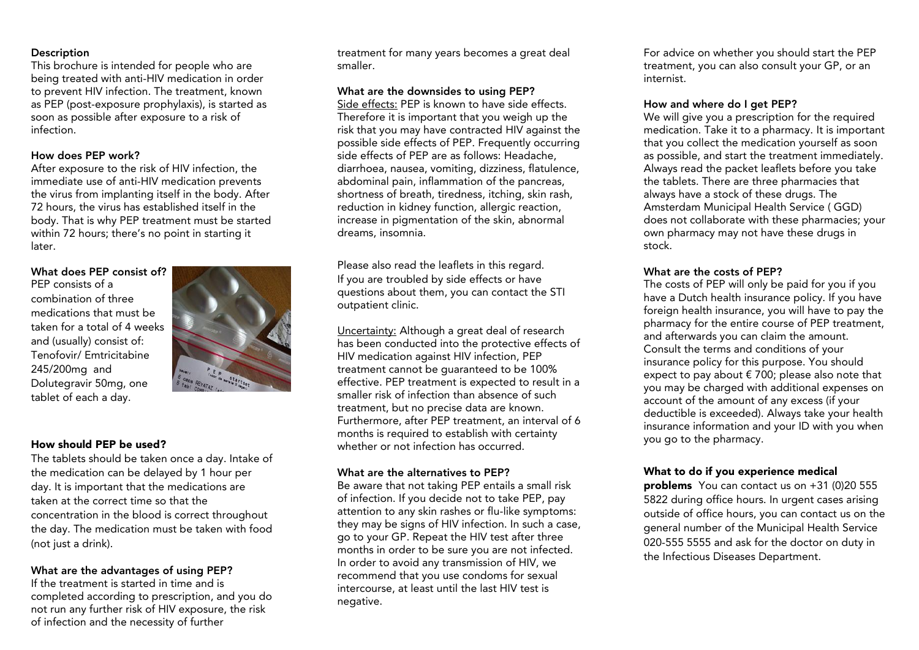**Description**<br>This brochure is intended for people who are being treated with anti-HIV medication in order to prevent HIV infection. The treatment, known as PEP (post-exposure prophylaxis), is started as soon as possible after exposure to a risk of infection.

#### How does PFP work?

After exposure to the risk of HIV infection, the immediate use of anti-HIV medication prevents the virus from implanting itself in the body. After 72 hours, the virus has established itself in the body. That is why PEP treatment must be started within 72 hours: there's no point in starting it within 72 hours; there's no point in starting it.<br>later

#### What does PEP consist of?

**PFP** consists of a combination of three medications that must be taken for a total of 4 weeks and (usually) consist of: Tenofovir/ Emtricitabine  $245/200$ ma and Dolutegravir 50mg, one tablet of each a day. tablet of each a day.



#### **How should PEP be used?**

The tablets should be taken once a day, Intake of the medication can be delayed by 1 hour per day. It is important that the medications are taken at the correct time so that the concentration in the blood is correct throughout the day. The medication must be taken with food (not just a drink). (not just a drink).

# **What are the advantages of using PEP?**

completed according to prescription, and you do not run any further risk of HIV exposure, the risk of infection and the necessity of further  $\sum_{i=1}^{n} a_i$  infection and  $\sum_{i=1}^{n} a_i$ 

treatment for many years becomes a great deal smaller.

# **What are the downsides to using PEP?**

Therefore it is important that you weigh up the risk that you may have contracted HIV against the possible side effects of PEP. Frequently occurring side effects of PEP are as follows: Headache. diarrhoea, nausea, vomiting, dizziness, flatulence, abdominal pain, inflammation of the pancreas, shortness of breath, tiredness, itching, skin rash, reduction in kidney function, allergic reaction, increase in pigmentation of the skin, abnormal dreams, insomnia. dreams, insomnia.

Please also read the leaflets in this regard.<br>If you are troubled by side effects or have questions about them, you can contact the STI  $q$ ut them,  $q$  can contact the  $q$ outpatient clinic.

Uncertainty: Although a great deal of research<br>has been conducted into the protective effects of HIV medication against HIV infection, PEP treatment cannot be quaranteed to be 100% effective. PEP treatment is expected to result in a smaller risk of infection than absence of such treatment, but no precise data are known. Furthermore, after PEP treatment, an interval of 6 months is required to establish with certainty whether or not infection has occurred. whether or not infection has occurred.

## What are the alternatives to PFP?

Be aware that not taking PEP entails a small risk of infection. If you decide not to take PEP, pay attention to any skin rashes or flu-like symptoms: they may be signs of HIV infection. In such a case, go to your GP. Repeat the HIV test after three months in order to be sure you are not infected. In order to avoid any transmission of HIV, we recommend that you use condoms for sexual intercourse, at least until the last HIV test is negative. negative.

For advice on whether you should start the PEP treatment, you can also consult your GP, or an internist. internist.

## How and where do I get PEP?

We will give you a prescription for the required medication. Take it to a pharmacy. It is important that you collect the medication yourself as soon as possible, and start the treatment immediately. Always read the packet leaflets before you take the tablets. There are three pharmacies that always have a stock of these drugs. The Amsterdam Municipal Health Service (GGD) does not collaborate with these pharmacies; your own pharmacy may not have these drugs in own pharmacy may not have these drugs in

## What are the costs of PEP?

The costs of PEP will only be paid for you if you have a Dutch health insurance policy. If you have foreign health insurance, you will have to pay the pharmacy for the entire course of PEP treatment. and afterwards you can claim the amount. Consult the terms and conditions of your insurance policy for this purpose. You should expect to pay about  $\epsilon$  700; please also note that you may be charged with additional expenses on account of the amount of any excess (if your deductible is exceeded). Always take your health insurance information and your ID with you when you go to the pharmacy. you go to the pharmacy.

## **What to do if you experience medical**

**problems** You can contact us on +31 (0)20 555<br>5822 during office hours. In urgent cases arising outside of office hours, you can contact us on the general number of the Municipal Health Service 020-555 5555 and ask for the doctor on duty in the Infectious Diseases Department. the Infectious Diseases Department.